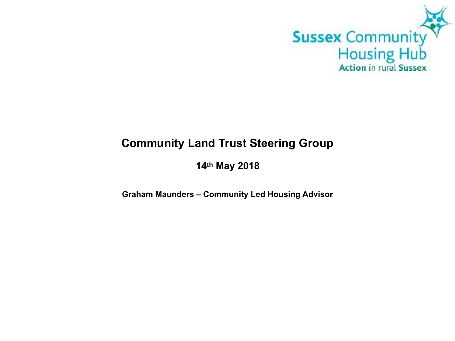

#### **Community Land Trust Steering Group**

**14th May 2018** 

**Graham Maunders – Community Led Housing Advisor**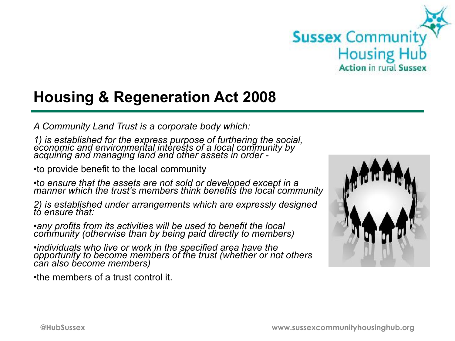

## **Housing & Regeneration Act 2008**

*A Community Land Trust is a corporate body which:* 

*1) is established for the express purpose of furthering the social, economic and environmental interests of a local community by acquiring and managing land and other assets in order -* 

•to provide benefit to the local community

•t*o ensure that the assets are not sold or developed except in a manner which the trust's members think benefits the local community*

*2) is established under arrangements which are expressly designed to ensure that:* 

•*any profits from its activities will be used to benefit the local community (otherwise than by being paid directly to members)* 

•*individuals who live or work in the specified area have the opportunity to become members of the trust (whether or not others can also become members)* 

•the members of a trust control it.

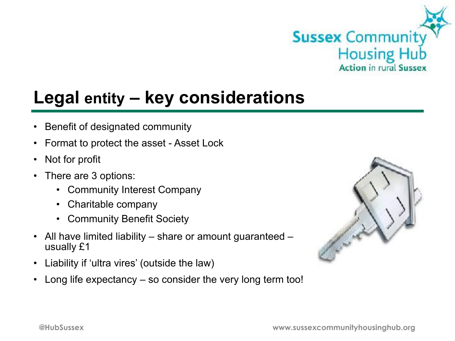

# **Legal entity – key considerations**

- Benefit of designated community
- Format to protect the asset Asset Lock
- Not for profit
- There are 3 options:
	- Community Interest Company
	- Charitable company
	- Community Benefit Society
- All have limited liability share or amount guaranteed usually £1
- Liability if 'ultra vires' (outside the law)
- Long life expectancy so consider the very long term too!

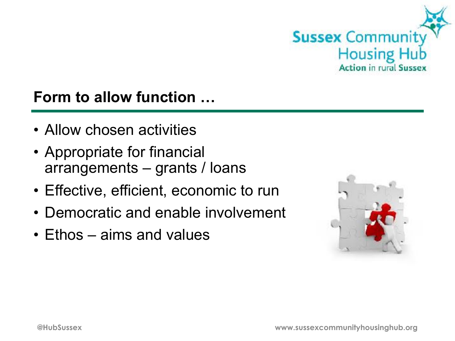

### **Form to allow function …**

- Allow chosen activities
- Appropriate for financial arrangements – grants / loans
- Effective, efficient, economic to run
- Democratic and enable involvement
- Ethos aims and values

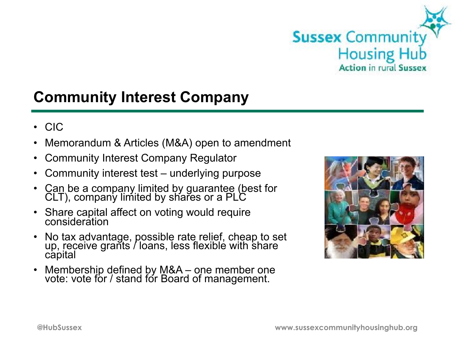

## **Community Interest Company**

- CIC
- Memorandum & Articles (M&A) open to amendment
- Community Interest Company Regulator
- Community interest test underlying purpose
- Can be a company limited by guarantee (best for CLT), company limited by shares or a PLC
- Share capital affect on voting would require consideration
- No tax advantage, possible rate relief, cheap to set up, receive grants / loans, less flexible with share capital
- Membership defined by M&A one member one vote: vote for / stand for Board of management.

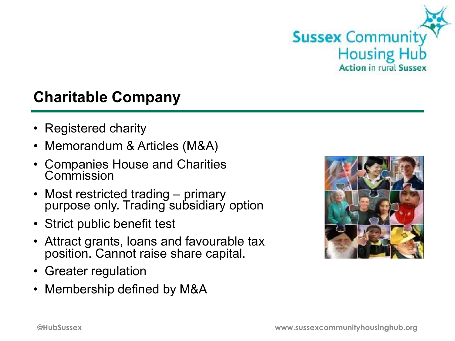

# **Charitable Company**

- Registered charity
- Memorandum & Articles (M&A)
- Companies House and Charities Commission
- Most restricted trading primary purpose only. Trading subsidiary option
- Strict public benefit test
- Attract grants, loans and favourable tax position. Cannot raise share capital.
- Greater regulation
- Membership defined by M&A

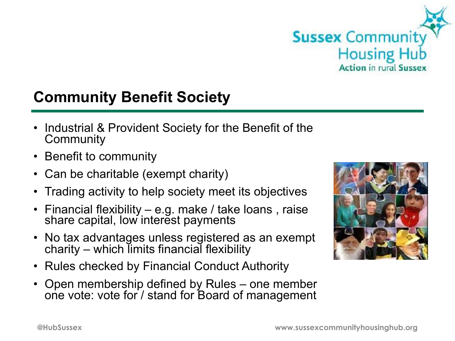

# **Community Benefit Society**

- Industrial & Provident Society for the Benefit of the **Community**
- Benefit to community
- Can be charitable (exempt charity)
- Trading activity to help society meet its objectives
- Financial flexibility e.g. make / take loans , raise share capital, low interest payments
- No tax advantages unless registered as an exempt charity – which limits financial flexibility
- Rules checked by Financial Conduct Authority
- Open membership defined by Rules one member one vote: vote for / stand for Board of management

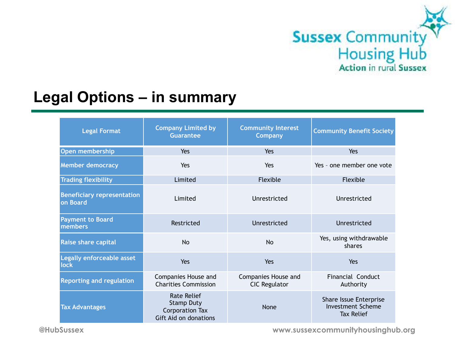

## **Legal Options – in summary**

| <b>Legal Format</b>                           | <b>Company Limited by</b><br><b>Guarantee</b>                                              | <b>Community Interest</b><br><b>Company</b> | <b>Community Benefit Society</b>                                        |
|-----------------------------------------------|--------------------------------------------------------------------------------------------|---------------------------------------------|-------------------------------------------------------------------------|
| <b>Open membership</b>                        | Yes                                                                                        | Yes                                         | Yes                                                                     |
| <b>Member democracy</b>                       | Yes                                                                                        | <b>Yes</b>                                  | Yes - one member one vote                                               |
| <b>Trading flexibility</b>                    | Limited                                                                                    | Flexible                                    | Flexible                                                                |
| <b>Beneficiary representation</b><br>on Board | Limited                                                                                    | Unrestricted                                | Unrestricted                                                            |
| <b>Payment to Board</b><br>members            | Restricted                                                                                 | Unrestricted                                | Unrestricted                                                            |
| Raise share capital                           | <b>No</b>                                                                                  | No                                          | Yes, using withdrawable<br>shares                                       |
| Legally enforceable asset<br>lock             | Yes                                                                                        | Yes                                         | Yes                                                                     |
| <b>Reporting and regulation</b>               | Companies House and<br><b>Charities Commission</b>                                         | Companies House and<br><b>CIC Regulator</b> | <b>Financial Conduct</b><br>Authority                                   |
| <b>Tax Advantages</b>                         | <b>Rate Relief</b><br><b>Stamp Duty</b><br><b>Corporation Tax</b><br>Gift Aid on donations | None                                        | Share Issue Enterprise<br><b>Investment Scheme</b><br><b>Tax Relief</b> |

**@HubSussex www.sussexcommunityhousinghub.org**